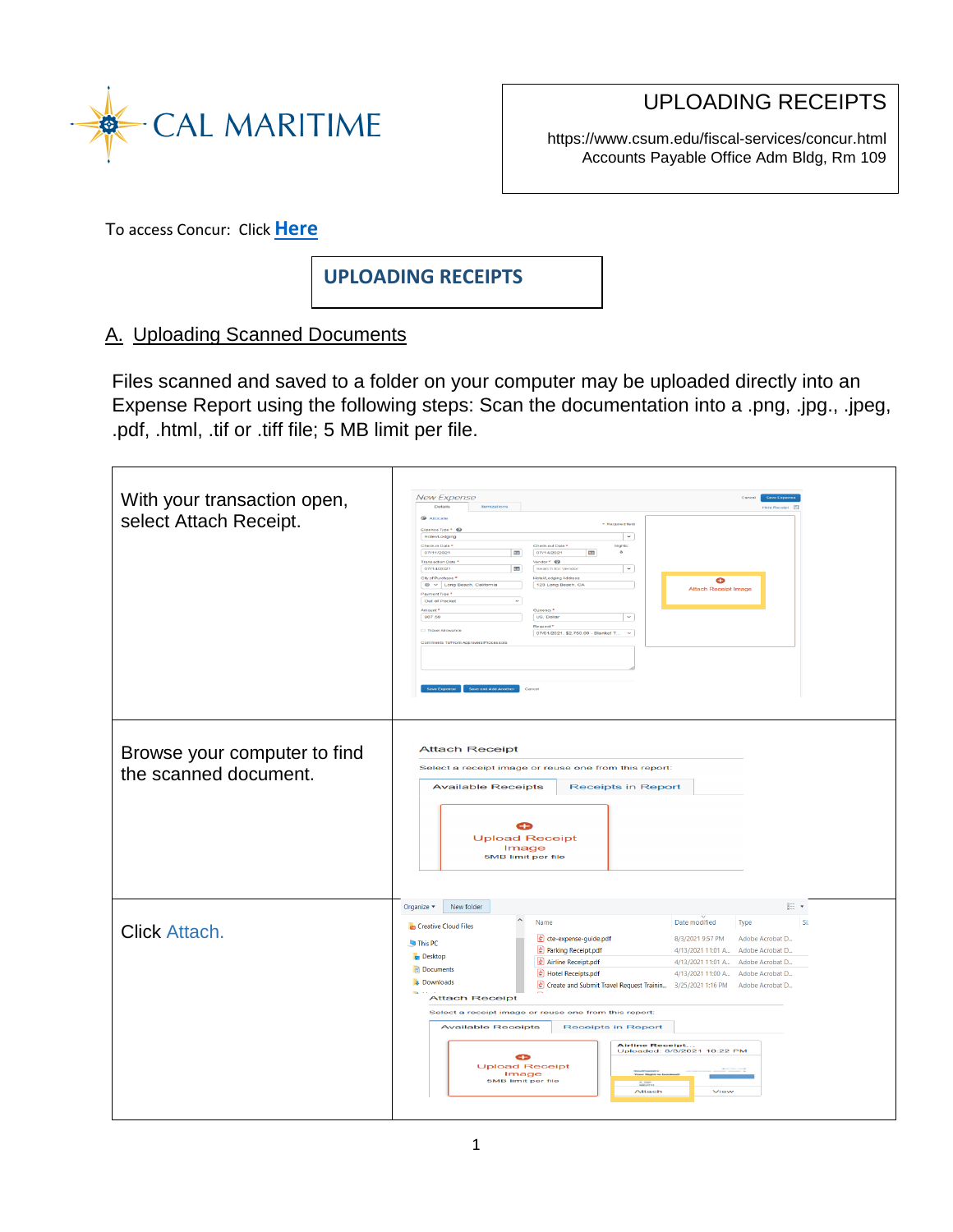

UPLOADING RECEIPTS

https://www.csum.edu/fiscal-services/concur.html Accounts Payable Office Adm Bldg, Rm 109

To access Concur: Click **[Here](https://ds.calstate.edu/?svc=concur&org=csum)**

## **UPLOADING RECEIPTS**

## A. Uploading Scanned Documents **1.** From the home page, place your

Files scanned and saved to a folder on your computer may be uploaded directly into an Expense Report using the following steps: Scan the documentation into a .png, .jpg., .jpeg, .pdf, .html, .tif or .tiff file; 5 MB limit per file.

| With your transaction open,<br>select Attach Receipt. | <b>New Expense</b><br>Details<br><b>Hide Receipt F</b><br>$\Phi$ Allocate<br>* Required field<br>Expense Type * ©<br>⊸<br>Hotel/Lodging<br>Check-in Date<br>Check-out Date<br>Nights:<br>07/14/2021<br>$\mathbf{3}$<br>07/11/2021<br>$-111$<br><b>HIII</b><br><b>Transaction Date</b><br>$\sqrt{2}$ * $\sqrt{2}$<br>07/14/2021<br><b>ETH</b><br>Search for Vendor<br>$\sim$<br>City of Purchase <sup>*</sup><br>telA.odging Address<br>Θ<br>@ v Long Beach, California<br>123 Long Beach, CA<br><b>Attach Receipt Image</b><br>Payment Type 1<br>Out of Pocket<br>v.<br>Amount?<br>907.50<br>US, Dollar<br>$\sim$<br>Request*<br>Travel Allowance<br>07/01/2021, \$2,750.00 - Blanket T<br>$\sim$<br>ments Toffrom Approvers/Processors<br>Save and Add Anothe<br>Cancel<br><b>Jave Expense</b>                                                        |
|-------------------------------------------------------|--------------------------------------------------------------------------------------------------------------------------------------------------------------------------------------------------------------------------------------------------------------------------------------------------------------------------------------------------------------------------------------------------------------------------------------------------------------------------------------------------------------------------------------------------------------------------------------------------------------------------------------------------------------------------------------------------------------------------------------------------------------------------------------------------------------------------------------------------------|
| Browse your computer to find<br>the scanned document. | <b>Attach Receipt</b><br>Select a receipt image or reuse one from this report:<br><b>Available Receipts</b><br><b>Receipts in Report</b><br><b>Upload Receipt</b><br>Image<br>5MB limit per file                                                                                                                                                                                                                                                                                                                                                                                                                                                                                                                                                                                                                                                       |
| Click Attach.                                         | 胆 -<br>New folder<br>Organize *<br>Date modified<br>Si:<br>Name<br>Type<br><b>Creative Cloud Files</b><br>$\epsilon$ cte-expense-guide.pdf<br>8/3/2021 9:57 PM<br>Adobe Acrobat D<br>This PC<br>Parking Receipt.pdf<br>Adobe Acrobat D<br>4/13/2021 11:01 A<br>$\Box$ Desktop<br>Airline Receipt.pdf<br>Adobe Acrobat D<br>4/13/2021 11:01 A<br><b>日 Documents</b><br>Hotel Receipts.pdf<br>4/13/2021 11:00 A<br>Adobe Acrobat D<br><b>Downloads</b><br>Create and Submit Travel Request Trainin 3/25/2021 1:16 PM Adobe Acrobat D<br><b>Attach Receipt</b><br>Select a receipt image or reuse one from this report<br><b>Available Receipts</b><br>Receipts in Report<br>Airline Receipt<br>Uploaded: 8/3/2021 10:22 PM<br>œ<br><b>Upload Receipt</b><br>Image<br><b>Visuar Higgler in Exceptional</b><br><b>5MB limit per file</b><br>Attach<br>View |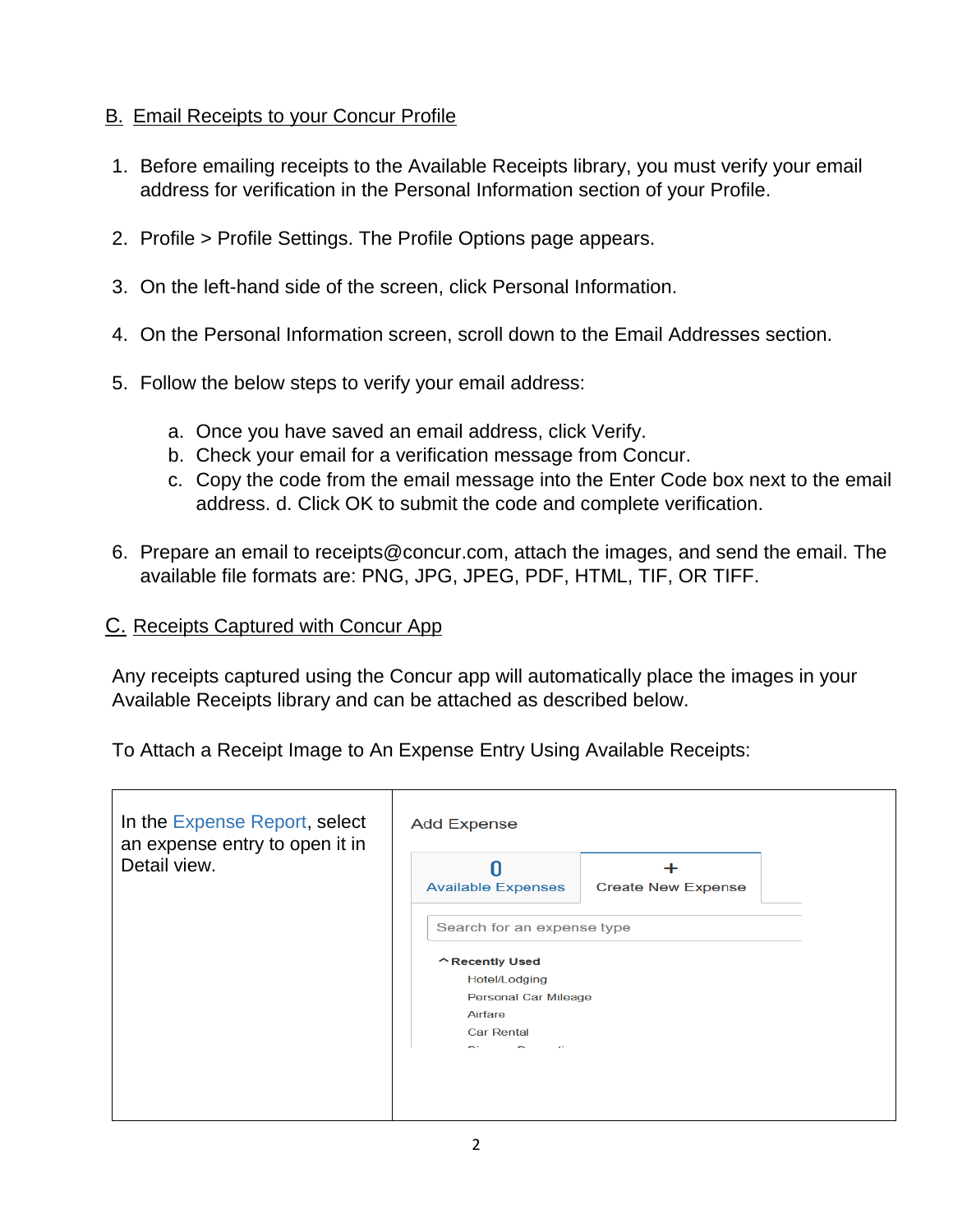## B. Email Receipts to your Concur Profile

- 1. Before emailing receipts to the Available Receipts library, you must verify your email address for verification in the Personal Information section of your Profile.
- 2. Profile > Profile Settings. The Profile Options page appears.
- 3. On the left-hand side of the screen, click Personal Information.
- 4. On the Personal Information screen, scroll down to the Email Addresses section.
- 5. Follow the below steps to verify your email address:
	- a. Once you have saved an email address, click Verify.
	- b. Check your email for a verification message from Concur.
	- c. Copy the code from the email message into the Enter Code box next to the email address. d. Click OK to submit the code and complete verification.
- 6. Prepare an email to receipts@concur.com, attach the images, and send the email. The available file formats are: PNG, JPG, JPEG, PDF, HTML, TIF, OR TIFF.

## C. Receipts Captured with Concur App

Any receipts captured using the Concur app will automatically place the images in your Available Receipts library and can be attached as described below.

To Attach a Receipt Image to An Expense Entry Using Available Receipts:

| In the Expense Report, select<br>an expense entry to open it in<br>Detail view. | <b>Add Expense</b>             |                           |  |
|---------------------------------------------------------------------------------|--------------------------------|---------------------------|--|
|                                                                                 | Π<br><b>Available Expenses</b> | <b>Create New Expense</b> |  |
|                                                                                 | Search for an expense type     |                           |  |
|                                                                                 | <b>A Recently Used</b>         |                           |  |
|                                                                                 | Hotel/Lodging                  |                           |  |
|                                                                                 | Personal Car Mileage           |                           |  |
|                                                                                 | Airfare                        |                           |  |
|                                                                                 | <b>Car Rental</b>              |                           |  |
|                                                                                 | ÷.<br>$\epsilon$ .             |                           |  |
|                                                                                 |                                |                           |  |
|                                                                                 |                                |                           |  |
|                                                                                 |                                |                           |  |